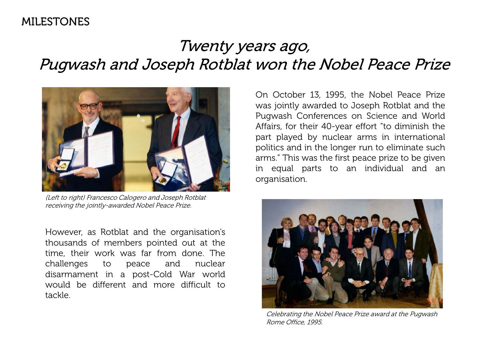### MILESTONES

# Twenty years ago, Pugwash and Joseph Rotblat won the Nobel Peace Prize



(Left to right) Francesco Calogero and Joseph Rotblat receiving the jointly-awarded Nobel Peace Prize.

However, as Rotblat and the organisation's thousands of members pointed out at the time, their work was far from done. The challenges to peace and nuclear disarmament in a post-Cold War world would be different and more difficult to tackle.

On October 13, 1995, the Nobel Peace Prize was jointly awarded to Joseph Rotblat and the Pugwash Conferences on Science and World Affairs, for their 40-year effort "to diminish the part played by nuclear arms in international politics and in the longer run to eliminate such arms." This was the first peace prize to be given in equal parts to an individual and an organisation.



Celebrating the Nobel Peace Prize award at the Pugwash Rome Office, 1995.